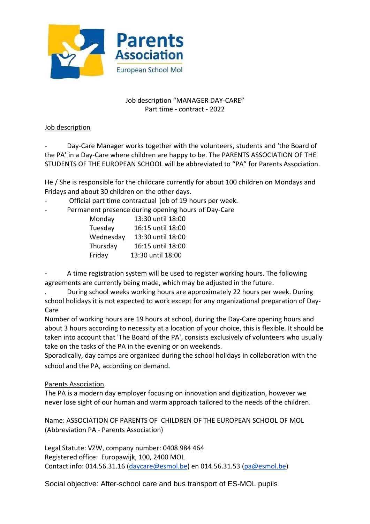

# Job description "MANAGER DAY-CARE" Part time - contract - 2022

## Job description

Day-Care Manager works together with the volunteers, students and 'the Board of the PA' in a Day-Care where children are happy to be. The PARENTS ASSOCIATION OF THE STUDENTS OF THE EUROPEAN SCHOOL will be abbreviated to "PA" for Parents Association.

He / She is responsible for the childcare currently for about 100 children on Mondays and Fridays and about 30 children on the other days.

- Official part time contractual job of 19 hours per week.
- Permanent presence during opening hours of Day-Care

| Monday    | 13:30 until 18:00 |
|-----------|-------------------|
| Tuesday   | 16:15 until 18:00 |
| Wednesday | 13:30 until 18:00 |
| Thursday  | 16:15 until 18:00 |
| Friday    | 13:30 until 18:00 |

A time registration system will be used to register working hours. The following agreements are currently being made, which may be adjusted in the future.

. During school weeks working hours are approximately 22 hours per week. During school holidays it is not expected to work except for any organizational preparation of Day-Care

Number of working hours are 19 hours at school, during the Day-Care opening hours and about 3 hours according to necessity at a location of your choice, this is flexible. It should be taken into account that 'The Board of the PA', consists exclusively of volunteers who usually take on the tasks of the PA in the evening or on weekends.

Sporadically, day camps are organized during the school holidays in collaboration with the school and the PA, according on demand.

# Parents Association

The PA is a modern day employer focusing on innovation and digitization, however we never lose sight of our human and warm approach tailored to the needs of the children.

Name: ASSOCIATION OF PARENTS OF CHILDREN OF THE EUROPEAN SCHOOL OF MOL (Abbreviation PA - Parents Association)

Legal Statute: VZW, company number: 0408 984 464 Registered office: Europawijk, 100, 2400 MOL Contact info: 014.56.31.16 [\(daycare@esmol.be\)](mailto:daycare@esmol.be) en 014.56.31.53 [\(pa@esmol.be\)](mailto:pa@esmol.be)

Social objective: After-school care and bus transport of ES-MOL pupils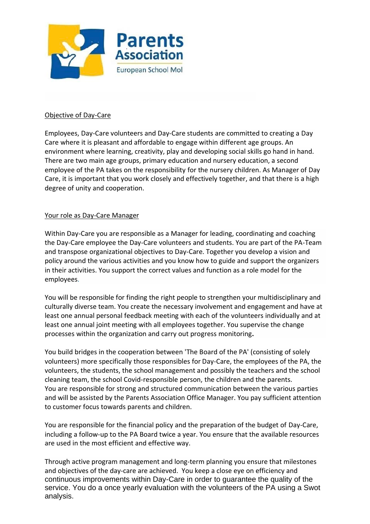

### Objective of Day-Care

Employees, Day-Care volunteers and Day-Care students are committed to creating a Day Care where it is pleasant and affordable to engage within different age groups. An environment where learning, creativity, play and developing social skills go hand in hand. There are two main age groups, primary education and nursery education, a second employee of the PA takes on the responsibility for the nursery children. As Manager of Day Care, it is important that you work closely and effectively together, and that there is a high degree of unity and cooperation.

#### Your role as Day-Care Manager

Within Day-Care you are responsible as a Manager for leading, coordinating and coaching the Day-Care employee the Day-Care volunteers and students. You are part of the PA-Team and transpose organizational objectives to Day-Care. Together you develop a vision and policy around the various activities and you know how to guide and support the organizers in their activities. You support the correct values and function as a role model for the employees.

You will be responsible for finding the right people to strengthen your multidisciplinary and culturally diverse team. You create the necessary involvement and engagement and have at least one annual personal feedback meeting with each of the volunteers individually and at least one annual joint meeting with all employees together. You supervise the change processes within the organization and carry out progress monitoring**.** 

You build bridges in the cooperation between 'The Board of the PA' (consisting of solely volunteers) more specifically those responsibles for Day-Care, the employees of the PA, the volunteers, the students, the school management and possibly the teachers and the school cleaning team, the school Covid-responsible person, the children and the parents. You are responsible for strong and structured communication between the various parties and will be assisted by the Parents Association Office Manager. You pay sufficient attention to customer focus towards parents and children.

You are responsible for the financial policy and the preparation of the budget of Day-Care, including a follow-up to the PA Board twice a year. You ensure that the available resources are used in the most efficient and effective way.

Through active program management and long-term planning you ensure that milestones and objectives of the day-care are achieved. You keep a close eye on efficiency and continuous improvements within Day-Care in order to guarantee the quality of the service. You do a once yearly evaluation with the volunteers of the PA using a Swot analysis.